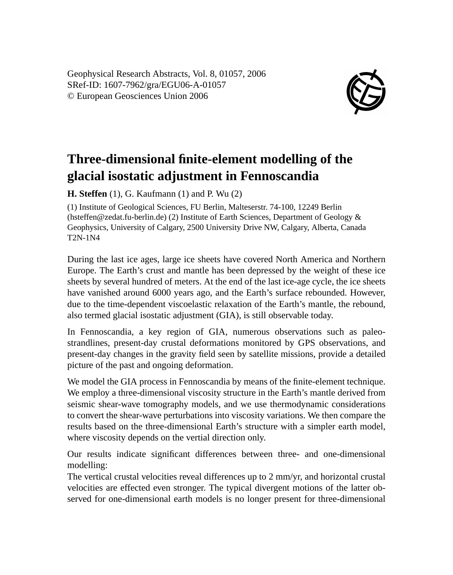Geophysical Research Abstracts, Vol. 8, 01057, 2006 SRef-ID: 1607-7962/gra/EGU06-A-01057 © European Geosciences Union 2006



## **Three-dimensional finite-element modelling of the glacial isostatic adjustment in Fennoscandia**

**H. Steffen** (1), G. Kaufmann (1) and P. Wu (2)

(1) Institute of Geological Sciences, FU Berlin, Malteserstr. 74-100, 12249 Berlin (hsteffen@zedat.fu-berlin.de) (2) Institute of Earth Sciences, Department of Geology & Geophysics, University of Calgary, 2500 University Drive NW, Calgary, Alberta, Canada T2N-1N4

During the last ice ages, large ice sheets have covered North America and Northern Europe. The Earth's crust and mantle has been depressed by the weight of these ice sheets by several hundred of meters. At the end of the last ice-age cycle, the ice sheets have vanished around 6000 years ago, and the Earth's surface rebounded. However, due to the time-dependent viscoelastic relaxation of the Earth's mantle, the rebound, also termed glacial isostatic adjustment (GIA), is still observable today.

In Fennoscandia, a key region of GIA, numerous observations such as paleostrandlines, present-day crustal deformations monitored by GPS observations, and present-day changes in the gravity field seen by satellite missions, provide a detailed picture of the past and ongoing deformation.

We model the GIA process in Fennoscandia by means of the finite-element technique. We employ a three-dimensional viscosity structure in the Earth's mantle derived from seismic shear-wave tomography models, and we use thermodynamic considerations to convert the shear-wave perturbations into viscosity variations. We then compare the results based on the three-dimensional Earth's structure with a simpler earth model, where viscosity depends on the vertial direction only.

Our results indicate significant differences between three- and one-dimensional modelling:

The vertical crustal velocities reveal differences up to 2 mm/yr, and horizontal crustal velocities are effected even stronger. The typical divergent motions of the latter observed for one-dimensional earth models is no longer present for three-dimensional